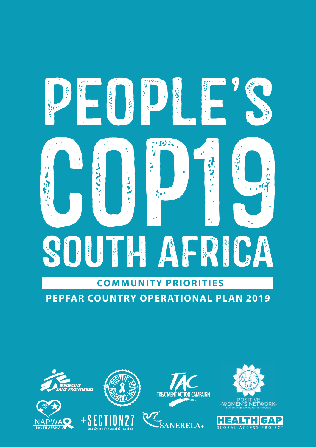









## **COMMUNITY PRIORITIES PEPFAR COUNTRY OPERATIONAL PLAN 2019**



 $\ddot{}$ 











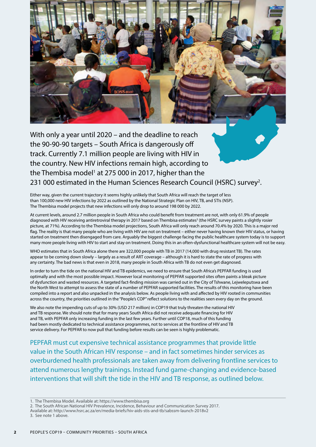

With only a year until 2020 – and the deadline to reach the 90-90-90 targets – South Africa is dangerously off track. Currently 7.1 million people are living with HIV in the country. New HIV infections remain high, according to the Thembisa model<sup>1</sup> at 275 000 in 2017, higher than the 231 000 estimated in the Human Sciences Research Council (HSRC) survey<sup>2</sup>.

Either way, given the current trajectory it seems highly unlikely that South Africa will reach the target of less than 100,000 new HIV infections by 2022 as outlined by the National Strategic Plan on HIV, TB, and STIs (NSP). The Thembisa model projects that new infections will only drop to around 198 000 by 2022.

At current levels, around 2.7 million people in South Africa who could benefit from treatment are not, with only 61.9% of people diagnosed with HIV receiving antiretroviral therapy in 2017 based on Thembisa estimates<sup>3</sup> (the HSRC survey paints a slightly rosier picture, at 71%). According to the Thembisa model projections, South Africa will only reach around 70.4% by 2020. This is a major red flag. The reality is that many people who are living with HIV are not on treatment – either never having known their HIV status, or having started on treatment then disengaged from care. Arguably the biggest challenge facing the public healthcare system today is to support many more people living with HIV to start and stay on treatment. Doing this in an often-dysfunctional healthcare system will not be easy.

WHO estimates that in South Africa alone there are 322,000 people with TB in 2017 (14,000 with drug resistant TB). The rates appear to be coming down slowly – largely as a result of ART coverage – although it is hard to state the rate of progress with any certainty. The bad news is that even in 2018, many people in South Africa with TB do not even get diagnosed.

In order to turn the tide on the national HIV and TB epidemics, we need to ensure that South Africa's PEPFAR funding is used optimally and with the most possible impact. However local monitoring of PEPFAR supported sites often paints a bleak picture of dysfunction and wasted resources. A targeted fact-finding mission was carried out in the City of Tshwane, Lejweleputswa and the North West to attempt to assess the state of a number of PEPFAR supported facilities. The results of this monitoring have been compiled into a report and also unpacked in the analysis below. As people living with and affected by HIV rooted in communities across the country, the priorities outlined in the "People's COP" reflect solutions to the realities seen every day on the ground.

We also note the impending cuts of up to 30% (USD 217 million) in COP19 that truly threaten the national HIV and TB response. We should note that for many years South Africa did not receive adequate financing for HIV and TB, with PEPFAR only increasing funding in the last few years. Further until COP18, much of this funding had been mostly dedicated to technical assistance programmes, not to services at the frontline of HIV and TB service delivery. For PEPFAR to now pull that funding before results can be seen is highly problematic.

PEPFAR must cut expensive technical assistance programmes that provide little value in the South African HIV response – and in fact sometimes hinder services as overburdened health professionals are taken away from delivering frontline services to attend numerous lengthy trainings. Instead fund game-changing and evidence-based interventions that will shift the tide in the HIV and TB response, as outlined below.

- Available at: http://www.hsrc.ac.za/en/media-briefs/hiv-aids-stis-and-tb/sabssm-launch-2018v2 3. See note 1 above.
- 

<sup>1.</sup> The Thembisa Model. Available at: https://www.thembisa.org

<sup>2.</sup> The South African National HIV Prevalence, Incidence, Behaviour and Communication Survey 2017.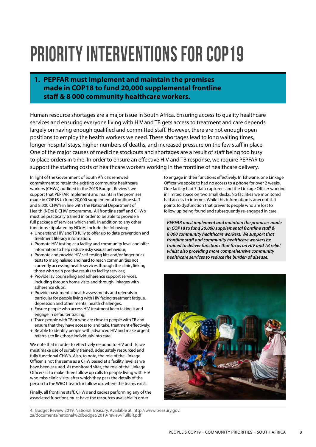# Priority interventions for COP19

## **1. PEPFAR must implement and maintain the promises made in COP18 to fund 20,000 supplemental frontline staff & 8 000 community healthcare workers.**

Human resource shortages are a major issue in South Africa. Ensuring access to quality healthcare services and ensuring everyone living with HIV and TB gets access to treatment and care depends largely on having enough qualified and committed staff. However, there are not enough open positions to employ the health workers we need. These shortages lead to long waiting times, longer hospital stays, higher numbers of deaths, and increased pressure on the few staff in place. One of the major causes of medicine stockouts and shortages are a result of staff being too busy to place orders in time. In order to ensure an effective HIV and TB response, we require PEPFAR to support the staffing costs of healthcare workers working in the frontline of healthcare delivery.

In light of the Government of South Africa's renewed commitment to retain the existing community healthcare workers (CHWs) outlined in the 2019 Budget Review<sup>4</sup>, we support that PEPFAR implement and maintain the promises made in COP18 to fund 20,000 supplemental frontline staff and 8,000 CHW's in line with the National Department of Health (NDoH) CHW programme. All frontline staff and CHW's must be practically trained in order to be able to provide a full package of services which shall, in addition to any other functions stipulated by NDoH, include the following:

- + Understand HIV and TB fully to offer up to date prevention and treatment literacy information;
- + Promote HIV testing at a facility and community level and offer information to help reduce risky sexual behaviour;
- + Promote and provide HIV self-testing kits and/or finger prick tests to marginalised and hard to reach communities not currently accessing health services through the clinic, linking those who gain positive results to facility services;
- + Provide lay counselling and adherence support services, including through home visits and through linkages with adherence clubs;
- + Provide basic mental health assessments and referrals in particular for people living with HIV facing treatment fatigue, depression and other mental health challenges;
- + Ensure people who access HIV treatment keep taking it and engage in defaulter tracing;
- + Trace people with TB or who are close to people with TB and ensure that they have access to, and take, treatment effectively;
- + Be able to identify people with advanced HIV and make urgent referrals to link those individuals into care.

We note that in order to effectively respond to HIV and TB, we must make use of suitably trained, adequately resourced and fully functional CHW's. Also, to note, the role of the Linkage Officer is not the same as a CHW based at a facility level as we have been assured. At monitored sites, the role of the Linkage Officers is to make three follow up calls to people living with HIV who miss clinic visits, after which they pass the details of the person to the WBOT team for follow up, where the teams exist.

Finally, all frontline staff, CHW's and cadres performing any of the associated functions must have the resources available in order

to engage in their functions effectively. In Tshwane, one Linkage Officer we spoke to had no access to a phone for over 2 weeks. One facility had 7 data capturers and the Linkage Officer working in limited space on two small desks. No facilities we monitored had access to internet. While this information is anecdotal, it points to dysfunction that prevents people who are lost to follow up being found and subsequently re-engaged in care.

*PEPFAR must implement and maintain the promises made in COP18 to fund 20,000 supplemental frontline staff & 8 000 community healthcare workers. We support that frontline staff and community healthcare workers be trained to deliver functions that focus on HIV and TB relief whilst also providing more comprehensive community healthcare services to reduce the burden of disease.* 



4. Budget Review 2019, National Treasury. Available at: http://www.treasury.gov. za/documents/national%20budget/2019/review/FullBR.pdf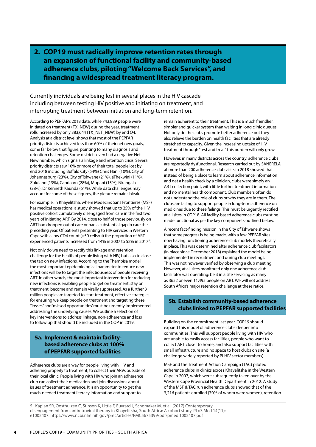## **2. COP19 must radically improve retention rates through an expansion of functional facility and community-based adherence clubs, piloting "Welcome Back Services", and financing a widespread treatment literacy program.**

Currently individuals are being lost in several places in the HIV cascade including between testing HIV positive and initiating on treatment, and interrupting treatment between initiation and long-term retention.

According to PEPFAR's 2018 data, while 743,889 people were initiated on treatment (TX\_NEW) during the year, treatment rolls increased by only 383,644 (TX\_NET\_NEW) by end Q4. Analysis at a district level shows that most of the PEPFAR priority districts achieved less than 60% of their net new goals, some far below that figure, pointing to many diagnosis and retention challenges. Some districts even had a negative Net New number, which signals a linkage and retention crisis. Several priority districts saw 10% or more of their total people lost by end 2018 including Buffalo City (54%) Chris Hani (10%), City of Johannesburg (23%), City of Tshwane (21%), eThekwini (11%), Zululand (13%), Capricorn (28%), Mopani (15%), Nkangala (38%), Dr Kenneth Kaunda (61%). While data challenges may account for some of these figures, the picture remains bleak.

For example, in Khayelitsha, where Médecins Sans Frontières (MSF) has medical operations, a study showed that up to 25% of the HIV positive cohort cumulatively disengaged from care in the first two years of initiating ART. By 2014, close to half of those previously on ART had dropped out of care or had a substantial gap in care the preceding year. Of patients presenting to HIV services in Western Cape with a low CD4 count (<50 cells/ul) the proportion of ARTexperienced patients increased from 14% in 2007 to 52% in 20175 .

Not only do we need to rectify this linkage and retention challenge for the health of people living with HIV, but also to close the tap on new infections. According to the Thembisa model, the most important epidemiological parameter to reduce new infections will be to target the infectiousness of people receiving ART. In other words, the most important intervention for reducing new infections is enabling people to get on treatment, stay on treatment, become and remain virally suppressed. As a further 3 million people are targeted to start treatment, effective strategies for ensuring we keep people on treatment and targeting these "losses" and 'missed opportunities' must be urgently implemented, addressing the underlying causes. We outline a selection of key interventions to address linkage, non-adherence and loss to follow up that should be included in the COP in 2019.

#### **5a. Implement & maintain facilitybased adherence clubs at 100% of PEPFAR supported facilities**

Adherence clubs are a way for people living with HIV and adhering properly to treatment, to collect their ARVs outside of their local clinic. People living with HIV who join an adherence club can collect their medication and join discussions about issues of treatment adherence. It is an opportunity to get the much-needed treatment literacy information and support to

remain adherent to their treatment. This is a much friendlier, simpler and quicker system than waiting in long clinic queues. Not only do the clubs promote better adherence but they also relieve the burden on health facilities that are already stretched to capacity. Given the increasing uptake of HIV treatment through "test and treat" this burden will only grow.

However, in many districts across the country, adherence clubs are reportedly dysfunctional. Research carried out by SANERELA at more than 200 adherence club visits in 2018 showed that instead of being a place to learn about adherence information and get a health check by a clinician, clubs were simply an ART collection point, with little further treatment information and no mental health component. Club members often do not understand the role of clubs or why they are in them. The clubs are failing to support people in long-term adherence on medicines due to these failings. This must be urgently rectified at all sites in COP18. All facility-based adherence clubs must be made functional as per the key components outlined below.

A recent fact-finding mission in the City of Tshwane shows that some progress is being made, with a few PEPFAR sites now having functioning adherence club models theoretically in place. This was determined after adherence club facilitators (in place since December 2018) explained the model being implemented in recruitment and during club meetings. This was not however verified by observing a club meeting. However, at all sites monitored only one adherence club facilitator was operating: be it in a site servicing as many as 3652 or even 11,495 people on ART. We will not address South Africa's major retention challenge at these ratios.

#### **5b. Establish community-based adherence clubs linked to PEPFAR supported facilities**

Building on the commitment last year, COP19 should expand this model of adherence clubs deeper into communities. This will support people living with HIV who are unable to easily access facilities, people who want to collect ART closer to home, and also support facilities with small infrastructure and no space to host clubs on site (a challenge widely reported by PLHIV sector members).

MSF and the Treatment Action Campaign (TAC) piloted adherence clubs in clinics across Khayelitsha in the Western Cape in 2007, which were subsequently taken over by the Western Cape Provincial Health Department in 2012. A study of the MSF & TAC run adherence clubs showed that of the 3,216 patients enrolled (70% of whom were women), retention

<sup>5.</sup> Kaplan SR, Oosthuizen C, Stinson K, Little F, Euvrard J, Schomaker M, et al. (2017) Contemporary disengagement from antiretroviral therapy in Khayelitsha, South Africa: A cohort study. PLoS Med 14(11): e1002407. https://www.ncbi.nlm.nih.gov/pmc/articles/PMC5675399/pdf/pmed.1002407.pdf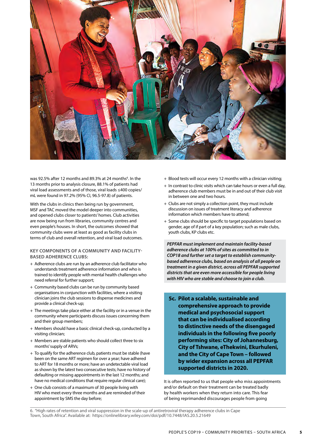

was 92.5% after 12 months and 89.3% at 24 months<sup>6</sup>. In the 13 months prior to analysis closure, 88.1% of patients had viral load assessments and of those, viral loads ≤400 copies/ mL were found in 97.2% (95% CI, 96.5-97.8) of patients.

With the clubs in clinics then being run by government, MSF and TAC moved the model deeper into communities, and opened clubs closer to patients' homes. Club activities are now being run from libraries, community centres and even people's houses. In short, the outcomes showed that community clubs were at least as good as facility clubs in terms of club and overall retention, and viral load outcomes.

#### **KEY COMPONENTS OF A COMMUNITY AND FACILITY-BASED ADHERENCE CLUBS:**

- + Adherence clubs are run by an adherence club facilitator who understands treatment adherence information and who is trained to identify people with mental health challenges who need referral for further support;
- + Community based clubs can be run by community based organisations in conjunction with facilities, where a visiting clinician joins the club sessions to dispense medicines and provide a clinical check-up;
- + The meetings take place either at the facility or in a venue in the community where participants discuss issues concerning them and their group members;
- + Members should have a basic clinical check-up, conducted by a visiting clinician;
- + Members are stable patients who should collect three to six months' supply of ARVs;
- + To qualify for the adherence club, patients must be stable (have been on the same ART regimen for over a year; have adhered to ART for 18 months or more; have an undetectable viral load as shown by the latest two consecutive tests; have no history of defaulting or missing appointments in the last 12 months; and have no medical conditions that require regular clinical care);
- + One club consists of a maximum of 30 people living with HIV who meet every three months and are reminded of their appointment by SMS the day before;
- + Blood tests will occur every 12 months with a clinician visiting;
- + In contrast to clinic visits which can take hours or even a full day, adherence club members must be in and out of their club visit in between one and two hours.
- + Clubs are not simply a collection point, they must include discussion on issues of treatment literacy and adherence information which members have to attend;
- + Some clubs should be specific to target populations based on gender, age of if part of a key population; such as male clubs, youth clubs, KP clubs etc.

*PEPFAR must implement and maintain facility-based adherence clubs at 100% of sites as committed to in COP18 and further set a target to establish communitybased adherence clubs, based on analysis of all people on treatment in a given district, across all PEPFAR supported districts that are even more accessible for people living with HIV who are stable and choose to join a club.*

**5c. Pilot a scalable, sustainable and comprehensive approach to provide medical and psychosocial support that can be individualised according to distinctive needs of the disengaged individuals in the following five poorly performing sites: City of Johannesburg, City of Tshwane, eThekwini, Ekurhuleni, and the City of Cape Town – followed by wider expansion across all PEPFAR supported districts in 2020.**

It is often reported to us that people who miss appointments and/or default on their treatment can be treated badly by health workers when they return into care. This fear of being reprimanded discourages people from going

<sup>6. &</sup>quot;High rates of retention and viral suppression in the scale-up of antiretroviral therapy adherence clubs in Cape Town, South Africa". Available at: https://onlinelibrary.wiley.com/doi/pdf/10.7448/IAS.20.5.21649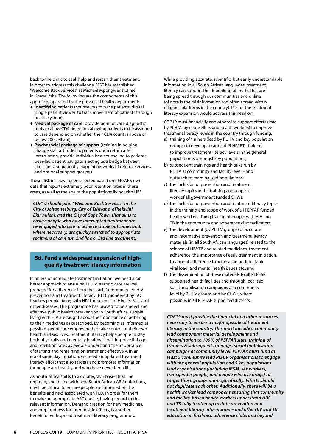back to the clinic to seek help and restart their treatment. In order to address this challenge, MSF has established "Welcome Back Services" at Michael Mpongwana Clinic in Khayelitsha. The following are the components of this approach, operated by the provincial health department:

- + **Identifying** patients (counsellors to trace patients; digital 'single patient viewer' to track movement of patients through health system);
- + **Medical package of care** (provide point of care diagnostic tools to allow CD4 detection allowing patients to be assigned to care depending on whether their CD4 count is above or below 200 cells/ul);
- + **Psychosocial package of support** (training in helping change staff attitudes to patients upon return after interruption, provide individualised counseling to patients, peer-led patient navigators acting as a bridge between clinicians and patients, mapped networks of referral services, and optional support groups.)

These districts have been selected based on PEPFAR's own data that reports extremely poor retention rates in these areas, as well as the size of the populations living with HIV.

*COP19 should pilot "Welcome Back Services" in the City of Johannesburg, City of Tshwane, eThekwini, Ekurhuleni, and the City of Cape Town, that aims to ensure people who have interrupted treatment are re-engaged into care to achieve stable outcomes and, where necessary, are quickly switched to appropriate regimens of care (i.e. 2nd line or 3rd line treatment).*

#### **5d. Fund a widespread expansion of highquality treatment literacy information**

In an era of immediate treatment initiation, we need a far better approach to ensuring PLHIV starting care are well prepared for adherence from the start. Community led HIV prevention and treatment literacy (PTL), pioneered by TAC, teaches people living with HIV the science of HIV, TB, STIs and other diseases. The programme has proved to be a novel and effective public health intervention in South Africa. People living with HIV are taught about the importance of adhering to their medicines as prescribed. By becoming as informed as possible, people are empowered to take control of their own health and sex lives. Treatment literacy helps people to stay both physically and mentally healthy. It will improve linkage and retention rates as people understand the importance of starting and remaining on treatment effectively. In an era of same day initiation, we need an updated treatment literacy effort that also targets and promotes information for people are healthy and who have never been ill.

As South Africa shifts to a dolutegravir based first line regimen, and in line with new South African ARV guidelines, it will be critical to ensure people are informed on the benefits and risks associated with TLD, in order for them to make an appropriate ART choice, having regard to the relevant information. Demand creation for new medicines, and preparedness for interim side effects, is another benefit of widespread treatment literacy programmes.

While providing accurate, scientific, but easily understandable information in all South African languages, treatment literacy can support the debunking of myths that are being spread through our communities and online (of note is the misinformation too often spread within religious platforms in the country). Part of the treatment literacy expansion would address this head on.

COP19 must financially and otherwise support efforts (lead by PLHIV, lay counsellors and health workers) to improve treatment literacy levels in the country through funding:

- a) training of trainers (lead by PLHIV and key population groups) to develop a cadre of PLHIV PTL trainers to improve treatment literacy levels in the general population & amongst key populations;
- b) subsequent trainings and health talks run by PLHIV at community and facility level – and outreach to marginalised populations;
- c) the inclusion of prevention and treatment literacy topics in the training and scope of work of all government funded CHWs;
- d) the inclusion of prevention and treatment literacy topics in the training and scope of work of all PEPFAR funded health workers doing tracing of people with HIV and TB in the community and adherence club facilitators;
- e) the development (by PLHIV groups) of accurate and informative prevention and treatment literacy materials (in all South African languages) related to the science of HIV/TB and related medicines, treatment adherence, the importance of early treatment initiation, treatment adherence to achieve an undetectable viral load, and mental health issues etc.; and
- f) the dissemination of these materials to all PEPFAR supported health facilities and through localised social mobilisation campaigns at a community level by PLHIV groups and by CHWs, where possible, in all PEPFAR supported districts.

*COP19 must provide the financial and other resources necessary to ensure a major upscale of treatment literacy in the country. This must include a community lead component: material development and dissemination to 100% of PEPFAR sites, training of trainers & subsequent trainings, social mobilisation campaigns at community level. PEPFAR must fund at least 5 community lead PLHIV organisations to engage with the general population and 5 key populations lead organisations (including MSM, sex workers, transgender people, and people who use drugs) to target those groups more specifically. Efforts should not duplicate each other. Additionally, there will be a health worker lead component ensuring that community and facility-based health workers understand HIV and TB fully to offer up to date prevention and treatment literacy information – and offer HIV and TB education in facilities, adherence clubs and beyond.*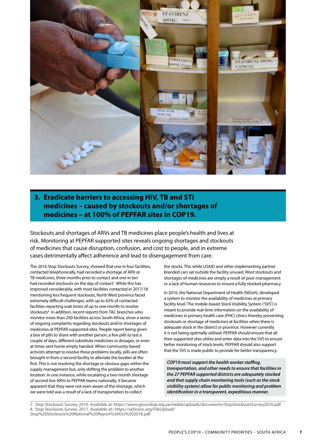

## **3. Eradicate barriers to accessing HIV, TB and STI medicines – caused by stockouts and/or shortages of medicines – at 100% of PEPFAR sites in COP19.**

Stockouts and shortages of ARVs and TB medicines place people's health and lives at risk. Monitoring at PEPFAR supported sites reveals ongoing shortages and stockouts of medicines that cause disruption, confusion, and cost to people, and in extreme cases detrimentally affect adherence and lead to disengagement from care.

The 2016 Stop Stockouts Survey, showed that one in four facilities, contacted telephonically, had recorded a shortage of ARV or TB medicines, three months prior to contact and one in ten had recorded stockouts on the day of contact<sup>7</sup>. While this has improved considerably, with most facilities contacted in 2017/18 mentioning less frequent stockouts, North West province faced extremely difficult challenges, with up to 42% of contacted facilities reporting wait times of up to one month to resolve stockouts<sup>8</sup>. In addition, recent reports from TAC branches who monitor more than 200 facilities across South Africa, show a series of ongoing complaints regarding stockouts and/or shortages of medicines at PEPFAR supported sites. People report being given a box of pills to share with another person, a few pills to last a couple of days, different substitute medicines or dosages, or even at times sent home empty handed. When community-based activists attempt to resolve these problems locally, pills are often brought in from a second facility to alleviate the burden at the first. This is not resolving the shortage or obvious gaps within the supply management but, only shifting the problem to another location. In one instance, while escalating a two-month shortage of second line ARVs to PEPFAR teams nationally, it became apparent that they were not even aware of the shortage, which we were told was a result of a lack of transportation to collect

the stocks. This while USAID and other implementing partner branded cars sat outside the facility unused. Most stockouts and shortages of medicines are simply a result of poor management or a lack of human resources to ensure a fully stocked pharmacy.

In 2016, the National Department of Health (NDoH), developed a system to monitor the availability of medicines at primary facility level. The mobile-based Stock Visibility System ('SVS') is meant to provide real-time information on the availability of medicines in primary health care (PHC) clinics thereby preventing stockouts or shortage of medicines at facilities when there is adequate stock in the district or province. However currently it is not being optimally utilised. PEPFAR should ensure that all their supported sites utilise and enter data into the SVS to ensure better monitoring of stock levels. PEPFAR should also support that the SVS is made public to provide for better transparency.

*COP19 must support the health worker staffing, transportation, and other needs to ensure that facilities in the 27 PEPFAR supported districts are adequately stocked and that supply chain monitoring tools (such as the stock visibility system) allow for public monitoring and problem identification in a transparent, expeditious manner.*

7. Stop Stockouts Survey, 2016. Available at: https://www.groundup.org.za/media/uploads/documents/StopStockoutsSurvey2016.pdf 8. Stop Stockouts Survey, 2017. Available at:: https://sahivsoc.org/FileUpload/ Stop%20Stockouts%20National%20Report%20Oct%202018.pdf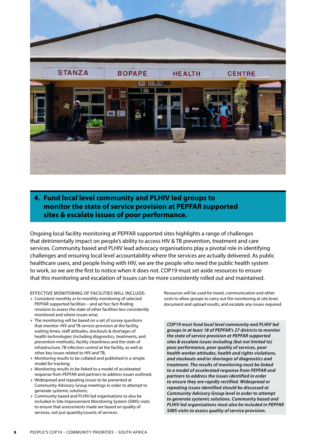

### **4. Fund local level community and PLHIV led groups to monitor the state of service provision at PEPFAR supported sites & escalate issues of poor performance.**

Ongoing local facility monitoring at PEPFAR supported sites highlights a range of challenges that detrimentally impact on people's ability to access HIV & TB prevention, treatment and care services. Community based and PLHIV lead advocacy organisations play a pivotal role in identifying challenges and ensuring local level accountability where the services are actually delivered. As public healthcare users, and people living with HIV, we are the people who need the public health system to work, so we are the first to notice when it does not. COP19 must set aside resources to ensure that this monitoring and escalation of issues can be more consistently rolled out and maintained.

**EFFECTIVE MONITORING OF FACILITIES WILL INCLUDE:**

- + Consistent monthly or bi-monthly monitoring of selected PEPFAR supported facilities – and ad hoc fact-finding missions to assess the state of other facilities less consistently monitored and where issues arise;
- + The monitoring will be based on a set of survey questions that monitor: HIV and TB service provision at the facility, waiting times, staff attitudes, stockouts & shortages of health technologies (including diagnostics, treatments, and prevention methods), facility cleanliness and the state of infrastructure, TB infection control at the facility, as well as other key issues related to HIV and TB;
- + Monitoring results to be collated and published in a simple model for tracking;
- + Monitoring results to be linked to a model of accelerated response from PEPFAR and partners to address issues outlined;
- + Widespread and repeating issues to be presented at Community Advisory Group meetings in order to attempt to generate systemic solutions;
- + Community based and PLHIV led organisations to also be included in Site Improvement Monitoring System (SIMS) visits to ensure that assessments made are based on quality of services, not just quantity/counts of services.

Resources will be used for travel, communication and other costs to allow groups to carry out the monitoring at site level, document and upload results, and escalate any issues required.

*COP19 must fund local level community and PLHIV led groups in at least 18 of PEPFAR's 27 districts to monitor the state of service provision at PEPFAR supported sites & escalate issues including (but not limited to) poor performance, poor quality of services, poor health worker attitudes, health and rights violations, and stockouts and/or shortages of diagnostics and treatment. The results of monitoring must be linked to a model of accelerated response from PEPFAR and partners to address the issues identified in order to ensure they are rapidly rectified. Widespread or repeating issues identified should be discussed at Community Advisory Group level in order to attempt to generate systemic solutions. Community based and PLHIV led organisations must also be included in PEPFAR SIMS visits to assess quality of service provision.*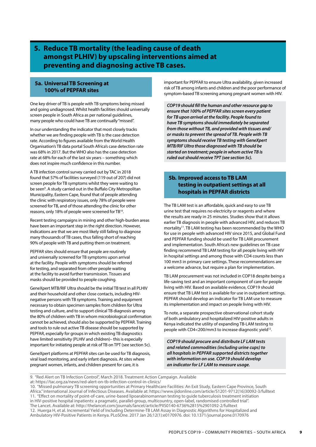## **5. Reduce TB mortality (the leading cause of death amongst PLHIV) by upscaling interventions aimed at preventing and diagnosing active TB cases.**

#### **5a. Universal TB Screening at 100% of PEPFAR sites**

One key driver of TB is people with TB symptoms being missed and going undiagnosed. Whilst health facilities should universally screen people in South Africa as per national guidelines, many people who could have TB are continually "missed".

In our understanding the indicator that most closely tracks whether we are finding people with TB is the case detection rate. According to figures available from the World Health Organisation's TB [data portal](https://www.who.int/tb/data/en/%20(You%20can%20download%20as%20CSV)) South Africa's case detection rate was 68% in 2017. But the WHO also has the case detection rate at 68% for each of the last six years – something which does not inspire much confidence in this number.

A TB infection control survey carried out by TAC in 2018 found that 57% of facilities surveyed (119 out of 207) did not screen people for TB symptoms whilst they were waiting to be seen<sup>9</sup>. A study carried out in the Buffalo City Metropolitan Municipality, Eastern Cape, found that of people attending the clinic with respiratory issues, only 78% of people were screened for TB, and of those attending the clinic for other reasons, only 18% of people were screened for TB<sup>10</sup>.

Recent testing campaigns in mining and other high-burden areas have been an important step in the right direction. However, indications are that we are most likely still failing to diagnose many thousands of TB cases, thus falling short of reaching 90% of people with TB and putting them on treatment.

PEPFAR sites should ensure that people are routinely and universally screened for TB symptoms upon arrival at the facility. People with symptoms should be referred for testing, and separated from other people waiting at the facility to avoid further transmission. Tissues and masks should be provided to people coughing.

GeneXpert MTB/RIF Ultra should be the initial TB test in all PLHIV and their household and other close contacts, including HIVnegative persons with TB symptoms. Training and equipment necessary to obtain specimen samples from children for Ultra testing and culture, and to support clinical TB diagnosis among the 80% of children with TB in whom microbiological confirmation cannot be achieved, should also be supported by PEPFAR. Training and tools to rule out active TB disease should be supported by PEPFAR, especially for groups in which existing TB diagnostics have limited sensitivity (PLHIV and children)– this is especially important for initiating people at risk of TB on TPT (see section 5c).

GeneXpert platforms at PEPFAR sites can be used for TB diagnosis, viral load monitoring, and early infant diagnosis. At sites where pregnant women, infants, and children present for care, it is

important for PEPFAR to ensure Ultra availability, given increased risk of TB among infants and children and the poor performance of symptom-based TB screening among pregnant women with HIV.

*COP19 should fill the human and other resource gap to ensure that 100% of PEPFAR sites screen every patient for TB upon arrival at the facility. People found to have TB symptoms should immediately be separated from those without TB, and provided with tissues and/ or masks to prevent the spread of TB. People with TB symptoms should receive TB testing with GeneXpert MTB/RIF Ultra those diagnosed with TB should be started on treatment; people in whom active TB is ruled out should receive TPT (see section 5c).*

#### **5b. Improved access to TB LAM testing in outpatient settings at all hospitals in PEPFAR districts**

The TB LAM test is an affordable, quick and easy to use TB urine test that requires no electricity or reagents and where the results are ready in 25 minutes. Studies show that it allows earlier TB diagnosis in people with advanced HIV, and reduces TB mortality<sup>11</sup>. TB LAM testing has been recommended by the WHO for use in people with advanced HIV since 2015, and Global Fund and PEPFAR funding should be used for TB LAM procurement and implementation. South Africa's new guidelines on TB case finding recommend TB LAM testing for all people living with HIV in hospital settings and among those with CD4 counts less than 100 mm3 in primary care settings. These recommendations are a welcome advance, but require a plan for implementation.

TB LAM procurement was not included in COP18 despite being a life-saving test and an important component of care for people living with HIV. Based on available evidence, COP19 should ensure that TB LAM test is available for use in outpatient settings. PEPFAR should develop an indicator for TB LAM use to measure its implementation and impact on people living with HIV.

To note, a separate prospective observational cohort study of both ambulatory and hospitalized HIV-positive adults in Kenya indicated the utility of expanding TB-LAM testing to people with CD4<200/mm3 to increase diagnostic vield<sup>12</sup>.

*COP19 should procure and distribute LF LAM tests and related commodities (including urine cups) to all hospitals in PEPFAR supported districts together with information on use. COP19 should develop an indicator for LF LAM to measure usage.*

10. "Missed pulmonary TB screening opportunities at Primary Healthcare Facilities: An Exit Study, Eastern Cape Province, South Africa." International Journal of Infectious Diseases. Available at: https://www.ijidonline.com/article/S1201-9712(16)30092-3/fulltext 11. "Effect on mortality of point-of-care, urine-based lipoarabinomannan testing to guide tuberculosis treatment initiation in HIV-positive hospital inpatients: a pragmatic, parallel-group, multicountry, open-label, randomised controlled trial". The Lancet. Available at: http://thelancet.com/journals/lancet/article/PIIS0140-6736%2815%2901092-2/fulltext 12. Huerga H, et al. Incremental Yield of Including Determine-TB LAM Assay in Diagnostic Algorithms for Hospitalized and Ambulatory HIV-Positive Patients in Kenya. PLoSOne. 2017 Jan 26;12(1):e0170976. doi: 10.1371/journal.pone.0170976

<sup>9. &</sup>quot;Red Alert on TB Infection Control", March 2018. Treatment Action Campaign. Available

at: https://tac.org.za/news/red-alert-on-tb-infection-control-in-clinics/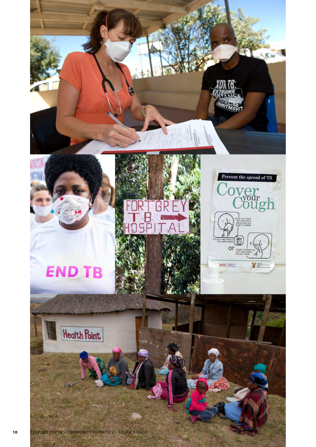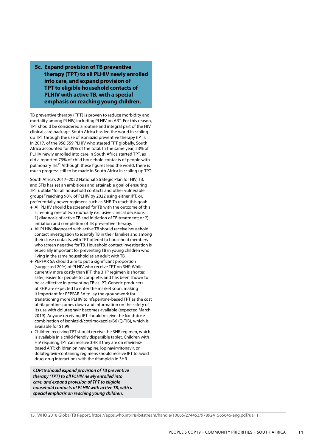**5c. Expand provision of TB preventive therapy (TPT) to all PLHIV newly enrolled into care, and expand provision of TPT to eligible household contacts of PLHIV with active TB, with a special emphasis on reaching young children.**

TB preventive therapy (TPT) is proven to reduce morbidity and mortality among PLHIV, including PLHIV on ART. For this reason, TPT should be considered a routine and integral part of the HIV clinical care package. South Africa has led the world in scalingup TPT through the use of isoniazid preventive therapy (IPT). In 2017, of the 958,559 PLHIV who started TPT globally, South Africa accounted for 39% of the total. In the same year, 53% of PLHIV newly enrolled into care in South Africa started TPT, as did a reported 79% of child household contacts of people with pulmonary TB.13 Although these figures lead the world, there is much progress still to be made in South Africa in scaling up TPT.

South Africa's 2017–2022 National Strategic Plan for HIV, TB, and STIs has set an ambitious and attainable goal of ensuring TPT uptake "for all household contacts and other vulnerable groups," reaching 90% of PLHIV by 2022 using either IPT, or, preferentially newer regimens such as 3HP. To reach this goal:

- + All PLHIV should be screened for TB with the outcome of this screening one of two mutually exclusive clinical decisions: 1) diagnosis of active TB and initiation of TB treatment; or 2) initiation and completion of TB preventive therapy.
- + All PLHIV diagnosed with active TB should receive household contact investigation to identify TB in their families and among their close contacts, with TPT offered to household members who screen negative for TB. Household contact investigation is especially important for preventing TB in young children who living in the same household as an adult with TB.
- + PEPFAR SA should aim to put a significant proportion (suggested 20%) of PLHIV who receive TPT on 3HP. While currently more costly than IPT, the 3HP regimen is shorter, safer, easier for people to complete, and has been shown to be as effective in preventing TB as IPT. Generic producers of 3HP are expected to enter the market soon, making it important for PEPFAR SA to lay the groundwork for transitioning more PLHIV to rifapentine-based TPT as the cost of rifapentine comes down and information on the safety of its use with dolutegravir becomes available (expected March 2019). Anyone receiving IPT should receive the fixed-dose combination of isoniazid/cotrimoxazole/B6 (Q-TIB), which is available for \$1.99.
- + Children receiving TPT should receive the 3HR regimen, which is available in a child-friendly dispersible tablet. Children with HIV requiring TPT can receive 3HR if they are on efavirenzbased ART; children on nevirapine, lopinavir/ritonavir, or dolutegravir-containing regimens should receive IPT to avoid drug-drug interactions with the rifampicin in 3HR.

*COP19 should expand provision of TB preventive therapy (TPT) to all PLHIV newly enrolled into care, and expand provision of TPT to eligible household contacts of PLHIV with active TB, with a special emphasis on reaching young children.*

13. WHO 2018 Global TB Report. https://apps.who.int/iris/bitstream/handle/10665/274453/9789241565646-eng.pdf?ua=1.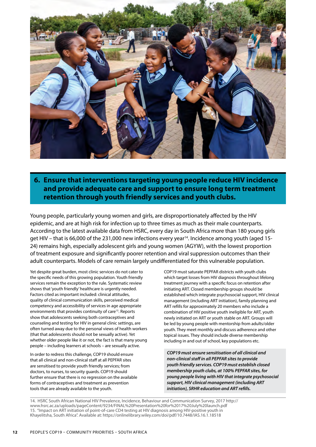

**6. Ensure that interventions targeting young people reduce HIV incidence and provide adequate care and support to ensure long term treatment retention through youth friendly services and youth clubs.**

Young people, particularly young women and girls, are disproportionately affected by the HIV epidemic, and are at high risk for infection up to three times as much as their male counterparts. According to the latest available data from HSRC, every day in South Africa more than 180 young girls get HIV – that is 66,000 of the 231,000 new infections every year<sup>14</sup>. Incidence among youth (aged 15-24) remains high, especially adolescent girls and young women (AGYW), with the lowest proportion of treatment exposure and significantly poorer retention and viral suppression outcomes than their adult counterparts. Models of care remain largely undifferentiated for this vulnerable population.

Yet despite great burden, most clinic services do not cater to the specific needs of this growing population. Youth friendly services remain the exception to the rule. Systematic review shows that 'youth friendly' healthcare is urgently needed. Factors cited as important included: clinical attitudes, quality of clinical communication skills, perceived medical competency and accessibility of services in age appropriate environments that provides continuity of care<sup>15</sup>. Reports show that adolescents seeking both contraceptives and counseling and testing for HIV in general clinic settings, are often turned away due to the personal views of health workers (that that adolescents should not be sexually active). Yet whether older people like it or not, the fact is that many young people – including learners at schools – are sexually active.

In order to redress this challenge, COP19 should ensure that all clinical and non-clinical staff at all PEPFAR sites are sensitised to provide youth friendly services; from doctors, to nurses, to security guards. COP19 should further ensure that there is no regression on the available forms of contraceptives and treatment as prevention tools that are already available to the youth.

COP19 must saturate PEPFAR districts with youth clubs which target losses from HIV diagnosis throughout lifelong treatment journey with a specific focus on retention after initiating ART. Closed membership groups should be established which integrate psychosocial support, HIV clinical management (including ART initiation), family planning and ART refills for approximately 20 members who include a combination of HIV positive youth ineligible for ART, youth newly initiated on ART or youth stable on ART. Groups will be led by young people with mentorship from adults/older youth. They meet monthly and discuss adherence and other topical issues. They should include diverse membership including in and out of school, key populations etc.

*COP19 must ensure sensitisation of all clinical and non-clinical staff in all PEPFAR sites to provide youth friendly services. COP19 must establish closed membership youth clubs, at 100% PEPFAR sites, for young people living with HIV that integrate psychosocial support, HIV clinical management (including ART initiation), SRHR education and ART refills.*

14. HSRC South African National HIV Prevalence, Incidence, Behaviour and Communication Survey, 2017 http:// www.hsrc.ac.za/uploads/pageContent/9234/FINAL%20Presentation%20for%2017%20July%20launch.pdf 15. "Impact on ART initiation of point-of-care CD4 testing at HIV diagnosis among HIV-positive youth in Khayelitsha, South Africa". Available at: https://onlinelibrary.wiley.com/doi/pdf/10.7448/IAS.16.1.18518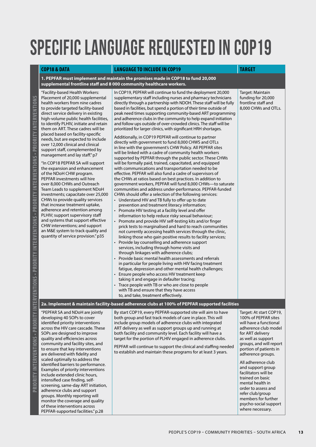## SPECIFIC LANGUAGE REQUESTED IN COP19

#### **COP18 & DATA LANGUAGE TO INCLUDE IN COP19 TARGET**

Target: Maintain funding for 20,000 frontline staff and 8,000 CHWs and OTLs.

**1. PEPFAR must implement and maintain the promises made in COP18 to fund 20,000 supplemental frontline staff and 8 000 community healthcare workers.**

"Facility-based Health Workers: Placement of 20,000 supplemental health workers from nine cadres to provide targeted facility-based direct service delivery in existing high-volume public health facilities, to identify PLHIV, initiate and retain them on ART. These cadres will be placed based on facility-specific needs, but are expected to include over 12,000 clinical and clinical support staff, complemented by management and lay staff." p7

"In COP18 PEPFAR SA will support the expansion and enhancement of the NDoH CHW program. PEPFAR investments will hire over 8,000 CHWs and Outreach Team Leads to supplement NDoH investments; capacitate over 25,000 CHWs to provide quality services that increase treatment uptake, adherence and retention among PLHIV; support supervisory staff and systems that support effective CHW interventions; and support an M&E system to track quality and quantity of service provision." p35

**PRIORITY INTERVENTIONS • PRIORITY INTERVENTIONS • PRIORITY INTERVENTIONS • PRIORITY INTERVENTIONS • PRIORITY INTERVENTIONS**

**PRIORITY INTERVENTIONS** 

PRIORITY INTERVENTIONS - PRIORITY INTERVENTIONS - PRIORITY INTERVENTIONS - PRIORITY INTERVENTIONS

In COP19, PEPFAR will continue to fund the deployment 20,000 supplementary staff including nurses and pharmacy technicians directly through a partnership with NDOH. These staff will be fully based in facilities, but spend a portion of their time outside of peak need times supporting community-based ART programming and adherence clubs in the community to help expand initiation and follow ups outside of over-crowded clinics. The staff will be prioritized for larger clinics, with significant HRH shortages.

Additionally, in COP19 PEPFAR will continue to partner directly with government to fund 8,000 CHWS and OTLs in line with the government's CHW Policy. All PEPFAR sites will be linked with a cadre of community health workers supported by PEPFAR through the public sector. These CHWs will be formally paid, trained, capacitated, and equipped with communications and transportation needed to be effective. PEPFAR will also fund a cadre of supervisors of the CHWs at ratios based on best practices. In addition to government workers, PEPFAR will fund 8,000 CHWs—to saturate communities and address under-performance. PEPFAR-funded CHWs should offer a selection of the following services:

- Understand HIV and TB fully to offer up to date prevention and treatment literacy information; Promote HIV testing at a facility level and offer
- information to help reduce risky sexual behaviour;
- Promote and provide HIV self-testing kits and/or finger prick tests to marginalised and hard to reach communities not currently accessing health services through the clinic, linking those who gain positive results to facility services;
- Provide lay counselling and adherence support services, including through home visits and through linkages with adherence clubs;
- Provide basic mental health assessments and referrals in particular for people living with HIV facing treatment fatigue, depression and other mental health challenges;
- Ensure people who access HIV treatment keep taking it and engage in defaulter tracing;
- Trace people with TB or who are close to people with TB and ensure that they have access to, and take, treatment effectively.

#### **2a. Implement & maintain facility-based adherence clubs at 100% of PEPFAR supported facilities**

"PEPFAR SA and NDoH are jointly developing 40 SOPs to cover identified priority interventions across the HIV care cascade. These SOPs are designed to improve quality and efficiencies across community and facility sites, and to ensure that key interventions are delivered with fidelity and scaled optimally to address the identified barriers to performance. Examples of priority interventions include extended clinic hours, intensified case finding, selfscreening, same-day ART initiation, adherence clubs and support groups. Monthly reporting will monitor the coverage and quality of these interventions across PEPFAR-supported facilities." p.28

By start COP19, every PEPFAR-supported site will aim to have both group and fast track models of care in place. This will include group models of adherence clubs with integrated ART delivery as well as support groups up and running at both facility and community level. Each facility will have a target for the portion of PLHIV engaged in adherence clubs.

PEPFAR will continue to support the clinical and staffing needed to establish and maintain these programs for at least 3 years.

Target: At start COP19, 100% of PEPFAR sites will have a functional adherence club model for ART delivery as well as support groups, and will report portion of patients in adherence groups. All adherence club and support group facilitators will be trained on basic mental health in order to assess and refer club/group members for further psycho-social support where necessary.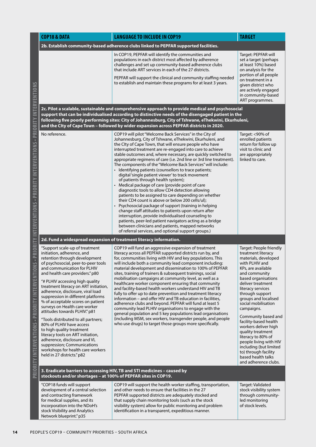|                                                                               | <b>COP18 &amp; DATA</b>                                                                                                                                                                                                                                                                                                                                                                                                                                                                                                                                                                                                                                                                                                                     | <b>LANGUAGE TO INCLUDE IN COP19</b>                                                                                                                                                                                                                                                                                                                                                                                                                                                                                                                                                                                                                                                                                                                                                                                                                                                                                                                                                                                                                                                                                                                                        | <b>TARGET</b>                                                                                                                                                                                                                                                                                                                                                                                                                                                                                                                |  |
|-------------------------------------------------------------------------------|---------------------------------------------------------------------------------------------------------------------------------------------------------------------------------------------------------------------------------------------------------------------------------------------------------------------------------------------------------------------------------------------------------------------------------------------------------------------------------------------------------------------------------------------------------------------------------------------------------------------------------------------------------------------------------------------------------------------------------------------|----------------------------------------------------------------------------------------------------------------------------------------------------------------------------------------------------------------------------------------------------------------------------------------------------------------------------------------------------------------------------------------------------------------------------------------------------------------------------------------------------------------------------------------------------------------------------------------------------------------------------------------------------------------------------------------------------------------------------------------------------------------------------------------------------------------------------------------------------------------------------------------------------------------------------------------------------------------------------------------------------------------------------------------------------------------------------------------------------------------------------------------------------------------------------|------------------------------------------------------------------------------------------------------------------------------------------------------------------------------------------------------------------------------------------------------------------------------------------------------------------------------------------------------------------------------------------------------------------------------------------------------------------------------------------------------------------------------|--|
|                                                                               | 2b. Establish community-based adherence clubs linked to PEPFAR supported facilities.                                                                                                                                                                                                                                                                                                                                                                                                                                                                                                                                                                                                                                                        |                                                                                                                                                                                                                                                                                                                                                                                                                                                                                                                                                                                                                                                                                                                                                                                                                                                                                                                                                                                                                                                                                                                                                                            |                                                                                                                                                                                                                                                                                                                                                                                                                                                                                                                              |  |
|                                                                               |                                                                                                                                                                                                                                                                                                                                                                                                                                                                                                                                                                                                                                                                                                                                             | In COP19, PEPFAR will identify the communities and<br>populations in each district most affected by adherence<br>challenges and set up community-based adherence clubs<br>that include ART services in each of the 27 districts.<br>PEPFAR will support the clinical and community staffing needed<br>to establish and maintain these programs for at least 3 years.                                                                                                                                                                                                                                                                                                                                                                                                                                                                                                                                                                                                                                                                                                                                                                                                       | Target: PEPFAR will<br>set a target (perhaps<br>at least 10%) based<br>on analysis for the<br>portion of all people<br>on treatment in a<br>given district who<br>are actively engaged<br>in community-based<br>ART programmes.                                                                                                                                                                                                                                                                                              |  |
|                                                                               | 2c. Pilot a scalable, sustainable and comprehensive approach to provide medical and psychosocial<br>support that can be individualised according to distinctive needs of the disengaged patient in the<br>following five poorly performing sites: City of Johannesburg, City of Tshwane, eThekwini, Ekurhuleni,<br>and the Clty of Cape Town - followed by wider expansion across PEPFAR districts in 2020.                                                                                                                                                                                                                                                                                                                                 |                                                                                                                                                                                                                                                                                                                                                                                                                                                                                                                                                                                                                                                                                                                                                                                                                                                                                                                                                                                                                                                                                                                                                                            |                                                                                                                                                                                                                                                                                                                                                                                                                                                                                                                              |  |
| NS • PRIORITY INTERVENTIONS • PRIORITY INTERVENTIONS • PRIORITY INTERVENTIONS | No reference.                                                                                                                                                                                                                                                                                                                                                                                                                                                                                                                                                                                                                                                                                                                               | COP19 will pilot "Welcome Back Services" in the City of<br>Johannesburg, City of Tshwane, eThekwini, Ekurhuleni, and<br>the City of Cape Town, that will ensure people who have<br>interrupted treatment are re-engaged into care to achieve<br>stable outcomes and, where necessary, are quickly switched to<br>appropriate regimens of care (i.e. 2nd line or 3rd line treatment).<br>The components of the "Welcome Back Services" will include:<br>• Identifying patients (counsellors to trace patients;<br>digital 'single patient viewer' to track movement<br>of patients through health system);<br>• Medical package of care (provide point of care<br>diagnostic tools to allow CD4 detection allowing<br>patients to be assigned to care depending on whether<br>their CD4 count is above or below 200 cells/ul);<br>Psychosocial package of support (training in helping<br>change staff attitudes to patients upon return after<br>interruption, provide individualised counseling to<br>patients, peer-led patient navigators acting as a bridge<br>between clinicians and patients, mapped networks<br>of referral services, and optional support groups.) | Target: <90% of<br>enrolled patients<br>return for follow up<br>visit to clinic and<br>are appropriately<br>linked to care.                                                                                                                                                                                                                                                                                                                                                                                                  |  |
|                                                                               | 2d. Fund a widespread expansion of treatment literacy information.                                                                                                                                                                                                                                                                                                                                                                                                                                                                                                                                                                                                                                                                          |                                                                                                                                                                                                                                                                                                                                                                                                                                                                                                                                                                                                                                                                                                                                                                                                                                                                                                                                                                                                                                                                                                                                                                            |                                                                                                                                                                                                                                                                                                                                                                                                                                                                                                                              |  |
| <b>PRIORITY INTERVENTIONS - PRIORITY INTERVENTI</b>                           | "Support scale-up of treatment<br>initiation, adherence, and<br>retention through development<br>of psychosocial, peer-to-peer tools<br>and communication for PLHIV<br>and health care providers." p80<br>"# PLHIV accessing high quality<br>treatment literacy on ART initiation,<br>adherence, disclosure, viral load<br>suppression in different platforms<br>% of acceptable scores on patient<br>surveys on Health care worker<br>attitudes towards PLHIV." p81<br>"Tools distributed to all partners;<br>80% of PLHIV have access<br>to high quality treatment<br>literacy tools on ART initiation,<br>adherence, disclosure and VL<br>suppression; Communications<br>workshops for health care workers<br>held in 27 districts." p82 | COP19 will fund an aggressive expansion of treatment<br>literacy across all PEPFAR supported districts run by, and<br>for, communities living with HIV and key populations. This<br>will include both a community lead component including:<br>material development and dissemination to 100% of PEPFAR<br>sites, training of trainers & subsequent trainings, social<br>mobilisation campaigns at community level, as well as a<br>healthcare worker component ensuring that community<br>and facility-based health workers understand HIV and TB<br>fully to offer up to date prevention and treatment literacy<br>information - and offer HIV and TB education in facilities,<br>adherence clubs and beyond. PEPFAR will fund at least 5<br>community lead PLHIV organisations to engage with the<br>general population and 5 key populations lead organisations<br>(including MSM, sex workers, transgender people, and people<br>who use drugs) to target those groups more specifically.                                                                                                                                                                             | Target: People friendly<br>treatment literacy<br>materials, developed<br>with PLHIV and<br>KPs, are available<br>and community<br>based organisations<br>deliver treatment<br>literacy services<br>through support<br>groups and localised<br>social mobilisation<br>campaigns.<br>Community based and<br>facility-based health<br>workers deliver high<br>quality treatment<br>literacy to 80% of<br>people living with HIV<br>including (but limited<br>to) through facility<br>based health talks<br>and adherence clubs. |  |
|                                                                               | stockouts and/or shortages - at 100% of PEPFAR sites in COP19.                                                                                                                                                                                                                                                                                                                                                                                                                                                                                                                                                                                                                                                                              | 3. Eradicate barriers to accessing HIV, TB and STI medicines - caused by                                                                                                                                                                                                                                                                                                                                                                                                                                                                                                                                                                                                                                                                                                                                                                                                                                                                                                                                                                                                                                                                                                   |                                                                                                                                                                                                                                                                                                                                                                                                                                                                                                                              |  |
|                                                                               | "COP18 funds will support<br>development of a central selection<br>and contracting framework<br>for medical supplies, and its<br>incorporation into the NDoH's<br>stock Visibility and Analytics<br>Network blueprint." p35                                                                                                                                                                                                                                                                                                                                                                                                                                                                                                                 | COP19 will support the health worker staffing, transportation,<br>and other needs to ensure that facilities in the 27<br>PEPFAR supported districts are adequately stocked and<br>that supply chain monitoring tools (such as the stock<br>visibility system) allow for public monitoring and problem<br>identification in a transparent, expeditious manner.                                                                                                                                                                                                                                                                                                                                                                                                                                                                                                                                                                                                                                                                                                                                                                                                              | Target: Validated<br>stock visibility system<br>through community-<br>led monitoring<br>of stock levels.                                                                                                                                                                                                                                                                                                                                                                                                                     |  |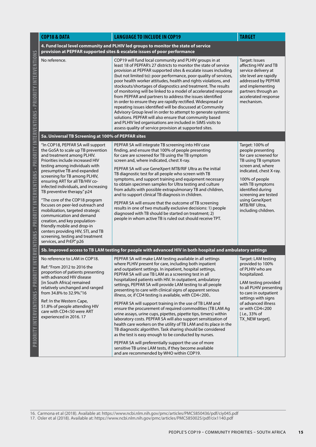| <b>COP18 &amp; DATA</b>                                                                                                                                                                                                                                                                                                                                                                                                                                                                                                                                                                                                                                                                                                                                      | <b>LANGUAGE TO INCLUDE IN COP19</b>                                                                                                                                                                                                                                                                                                                                                                                                                                                                                                                                                                                                                                                                                                                                                                                                                                                                                                                    | <b>TARGET</b>                                                                                                                                                                                                                                                                       |  |
|--------------------------------------------------------------------------------------------------------------------------------------------------------------------------------------------------------------------------------------------------------------------------------------------------------------------------------------------------------------------------------------------------------------------------------------------------------------------------------------------------------------------------------------------------------------------------------------------------------------------------------------------------------------------------------------------------------------------------------------------------------------|--------------------------------------------------------------------------------------------------------------------------------------------------------------------------------------------------------------------------------------------------------------------------------------------------------------------------------------------------------------------------------------------------------------------------------------------------------------------------------------------------------------------------------------------------------------------------------------------------------------------------------------------------------------------------------------------------------------------------------------------------------------------------------------------------------------------------------------------------------------------------------------------------------------------------------------------------------|-------------------------------------------------------------------------------------------------------------------------------------------------------------------------------------------------------------------------------------------------------------------------------------|--|
| 4. Fund local level community and PLHIV led groups to monitor the state of service<br>provision at PEPFAR supported sites & escalate issues of poor performance                                                                                                                                                                                                                                                                                                                                                                                                                                                                                                                                                                                              |                                                                                                                                                                                                                                                                                                                                                                                                                                                                                                                                                                                                                                                                                                                                                                                                                                                                                                                                                        |                                                                                                                                                                                                                                                                                     |  |
| No reference.                                                                                                                                                                                                                                                                                                                                                                                                                                                                                                                                                                                                                                                                                                                                                | COP19 will fund local community and PLHIV groups in at<br>least 18 of PEPFAR's 27 districts to monitor the state of service<br>provision at PEPFAR supported sites & escalate issues including<br>(but not limited to): poor performance, poor quality of services,<br>poor health worker attitudes, health and rights violations, and<br>stockouts/shortages of diagnostics and treatment. The results<br>of monitoring will be linked to a model of accelerated response<br>from PEPFAR and partners to address the issues identified<br>in order to ensure they are rapidly rectified. Widespread or<br>repeating issues identified will be discussed at Community<br>Advisory Group level in order to attempt to generate systemic<br>solutions. PEPFAR will also ensure that community based<br>and PLHIV led organisations are included in SIMS visits to<br>assess quality of service provision at supported sites.                             | Target: Issues<br>affecting HIV and TB<br>service delivery at<br>site level are rapidly<br>addressed by PEPFAR<br>and implementing<br>partners through an<br>accelerated response<br>mechanism.                                                                                     |  |
| 5a. Universal TB Screening at 100% of PEPFAR sites                                                                                                                                                                                                                                                                                                                                                                                                                                                                                                                                                                                                                                                                                                           |                                                                                                                                                                                                                                                                                                                                                                                                                                                                                                                                                                                                                                                                                                                                                                                                                                                                                                                                                        |                                                                                                                                                                                                                                                                                     |  |
| NTERVENTIONS - PRIORITY INTERVENTIONS - PRIORITY INTERVENTIONS - PRIORITY INTERVENTIONS<br>"In COP18, PEPFAR SA will support<br>the GoSA to scale up TB prevention<br>and treatment among PLHIV.<br>Priorities include increased HIV<br>testing among individuals with<br>presumptive TB and expanded<br>screening for TB among PLHIV,<br>ensuring ART for all TB/HIV co-<br>infected individuals, and increasing<br>TB preventive therapy." p24<br>"The core of the COP18 program<br>focuses on peer-led outreach and<br>mobilization, targeted strategic<br>communication and demand<br>creation, and key population-<br>friendly mobile and drop-in<br>centers providing HIV, STI, and TB<br>screening, testing and treatment<br>services, and PrEP." p26 | PEPFAR SA will integrate TB screening into HIV case<br>finding, and ensure that 100% of people presenting<br>for care are screened for TB using the TB symptom<br>screen and, where indicated, chest X-ray.<br>PEPFAR SA will use GeneXpert MTB/RIF Ultra as the initial<br>TB diagnostic test for all people who screen with TB<br>symptoms, and support training and equipment necessary<br>to obtain specimen samples for Ultra testing and culture<br>from adults with possible extrapulmonary TB and children,<br>and to support clinical TB diagnosis in children.<br>PEPFAR SA will ensure that the outcome of TB screening<br>results in one of two mutually exclusive decisions: 1) people<br>diagnosed with TB should be started on treatment; 2)<br>people in whom active TB is ruled out should receive TPT.                                                                                                                               | Target: 100% of<br>people presenting<br>for care screened for<br>TB using TB symptom<br>screen and, where<br>indicated, chest X-ray.<br>100% of people<br>with TB symptoms<br>identified during<br>screening are tested<br>using GeneXpert<br>MTB/RIF Ultra,<br>including children. |  |
| 5b. Improved access to TB LAM testing for people with advanced HIV in both hospital and ambulatory settings                                                                                                                                                                                                                                                                                                                                                                                                                                                                                                                                                                                                                                                  |                                                                                                                                                                                                                                                                                                                                                                                                                                                                                                                                                                                                                                                                                                                                                                                                                                                                                                                                                        |                                                                                                                                                                                                                                                                                     |  |
| No reference to LAM in COP18.<br>Ref: "From 2012 to 2016 the<br><b>PRIORITY INTERVENTIONS - PRIORITY</b><br>proportion of patients presenting<br>with advanced HIV disease<br><b>fin South Africal remained</b><br>relatively unchanged and ranged<br>from 34.8% to 32.9%."16<br>Ref: In the Western Cape,<br>51.8% of people attending HIV<br>care with CD4<50 were ART<br>experienced in 2016. 17                                                                                                                                                                                                                                                                                                                                                          | PEPFAR SA will make LAM testing available in all settings<br>where PLHIV present for care, including both inpatient<br>and outpatient settings. In inpatient, hospital settings,<br>PEPFAR SA will use TB LAM as a screening test in all<br>hospitalized patients with HIV. In outpatient, ambulatory<br>settings, PEPFAR SA will provide LAM testing to all people<br>presenting to care with clinical signs of apparent serious<br>illness, or, if CD4 testing is available, with CD4<200<br>PEPFAR SA will support training in the use of TB LAM and<br>ensure the procurement of required commodities (TB LAM Ag<br>urine assays, urine cups, pipettes, pipette tips, timers) within<br>laboratory costs. PEPFAR SA will also support sensitization of<br>health care workers on the utility of TB LAM and its place in the<br>TB diagnostic algorithm. Task sharing should be considered<br>as the test is easy enough to be conducted by nurses. | Target: LAM testing<br>provided to 100%<br>of PLHIV who are<br>hospitalized.<br>LAM testing provided<br>to all PLHIV presenting<br>to care in outpatient<br>settings with signs<br>of advanced illness<br>or with CD4<200<br>[i.e., 33% of<br>TX_NEW target].                       |  |
|                                                                                                                                                                                                                                                                                                                                                                                                                                                                                                                                                                                                                                                                                                                                                              | PEPFAR SA will preferentially support the use of more<br>sensitive TB urine LAM tests, if they become available<br>and are recommended by WHO within COP19.                                                                                                                                                                                                                                                                                                                                                                                                                                                                                                                                                                                                                                                                                                                                                                                            |                                                                                                                                                                                                                                                                                     |  |

16. Carmona et al (2018). Available at: https://www.ncbi.nlm.nih.gov/pmc/articles/PMC5850436/pdf/ciy045.pdf

17. Osler et al (2018). Available at: https://www.ncbi.nlm.nih.gov/pmc/articles/PMC5850025/pdf/cix1140.pdf